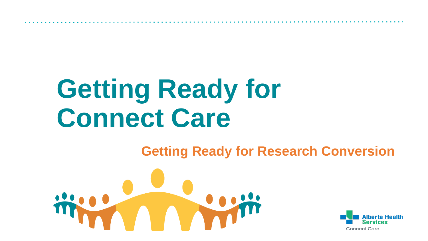# **Getting Ready for Connect Care**

**Getting Ready for Research Conversion**



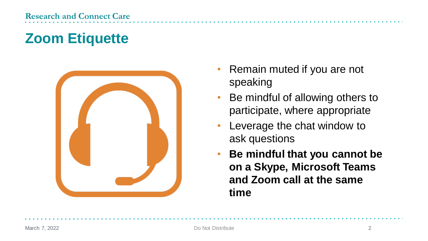## **Zoom Etiquette**



- Remain muted if you are not speaking
- Be mindful of allowing others to participate, where appropriate
- Leverage the chat window to ask questions
- **Be mindful that you cannot be on a Skype, Microsoft Teams and Zoom call at the same time**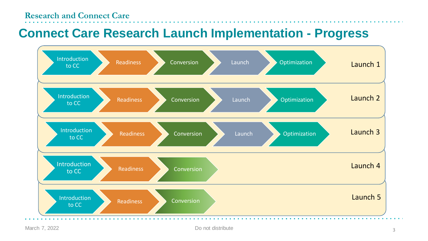#### **Connect Care Research Launch Implementation - Progress**

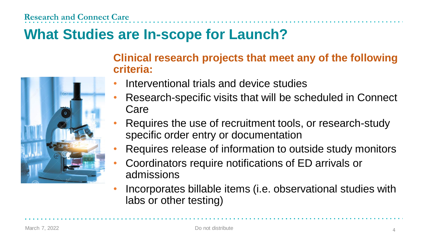## **What Studies are In-scope for Launch?**



**Clinical research projects that meet any of the following criteria:**

- Interventional trials and device studies
- Research-specific visits that will be scheduled in Connect Care
- Requires the use of recruitment tools, or research-study specific order entry or documentation
- Requires release of information to outside study monitors
- Coordinators require notifications of ED arrivals or admissions
- Incorporates billable items (i.e. observational studies with labs or other testing)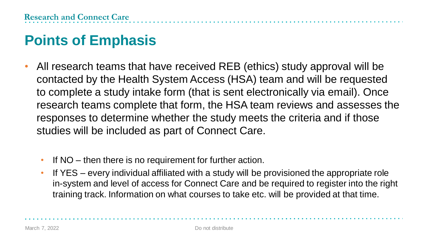## **Points of Emphasis**

- All research teams that have received REB (ethics) study approval will be contacted by the Health System Access (HSA) team and will be requested to complete a study intake form (that is sent electronically via email). Once research teams complete that form, the HSA team reviews and assesses the responses to determine whether the study meets the criteria and if those studies will be included as part of Connect Care.
	- If NO then there is no requirement for further action.
	- If YES every individual affiliated with a study will be provisioned the appropriate role in-system and level of access for Connect Care and be required to register into the right training track. Information on what courses to take etc. will be provided at that time.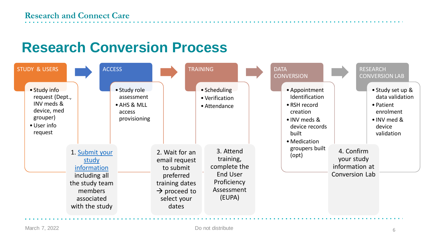#### **Research Conversion Process**

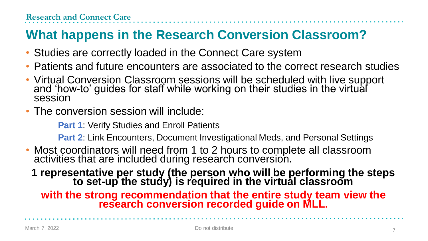#### **What happens in the Research Conversion Classroom?**

- Studies are correctly loaded in the Connect Care system
- Patients and future encounters are associated to the correct research studies
- Virtual Conversion Classroom sessions will be scheduled with live support and 'how-to' guides for staff while working on their studies in the virtual session
- The conversion session will include:

**Part 1: Verify Studies and Enroll Patients** 

**Part 2**: Link Encounters, Document Investigational Meds, and Personal Settings

- Most coordinators will need from 1 to 2 hours to complete all classroom activities that are included during research conversion.
	- **1 representative per study (the person who will be performing the steps to set-up the study) is required in the virtual classroom**

**with the strong recommendation that the entire study team view the research conversion recorded guide on MLL.**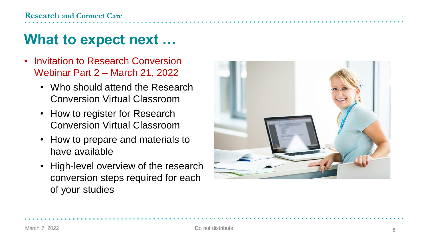#### **What to expect next …**

- Invitation to Research Conversion Webinar Part 2 – March 21, 2022
	- Who should attend the Research Conversion Virtual Classroom
	- How to register for Research Conversion Virtual Classroom
	- How to prepare and materials to have available
	- High-level overview of the research conversion steps required for each of your studies

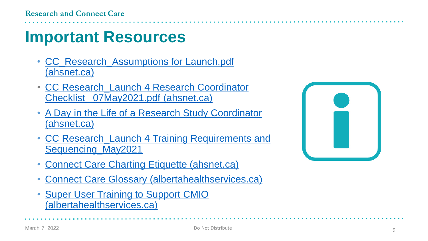# **Important Resources**

- [CC\\_Research\\_Assumptions](https://extranet.ahsnet.ca/teams/AHSRA/Connect%20Care%20Library/CC_Research_Assumptions%20for%20Launch.pdf) for Launch.pdf (ahsnet.ca)
- CC Research\_Launch 4 Research Coordinator [Checklist \\_07May2021.pdf \(ahsnet.ca\)](https://extranet.ahsnet.ca/teams/AHSRA/Connect%20Care%20Library/CC%20Research_Wave%204%20Research%20Coordinator%20Checklist%20_07May2021.pdf)
- A Day in the Life of a Research Study Coordinator (ahsnet.ca)
- CC Research Launch 4 Training Requirements and Sequencing May2021
- [Connect Care Charting Etiquette \(ahsnet.ca\)](https://extranet.ahsnet.ca/teams/AHSRA/Connect%20Care%20Library/AHS_CC_Research_Charting_Etiquette.pdf)
- [Connect Care Glossary \(albertahealthservices.ca\)](https://insite.albertahealthservices.ca/main/assets/cis/tms-cis-connect-care-glossary-apps.pdf)
- **Super User Training to Support CMIO** (albertahealthservices.ca)

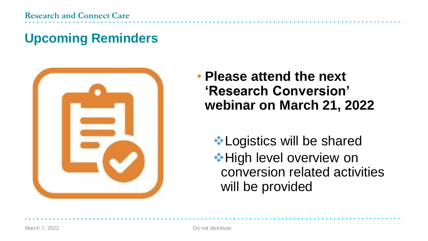#### **Upcoming Reminders**



• **Please attend the next 'Research Conversion' webinar on March 21, 2022**

❖Logistics will be shared **<sup>❖</sup>High level overview on** conversion related activities will be provided